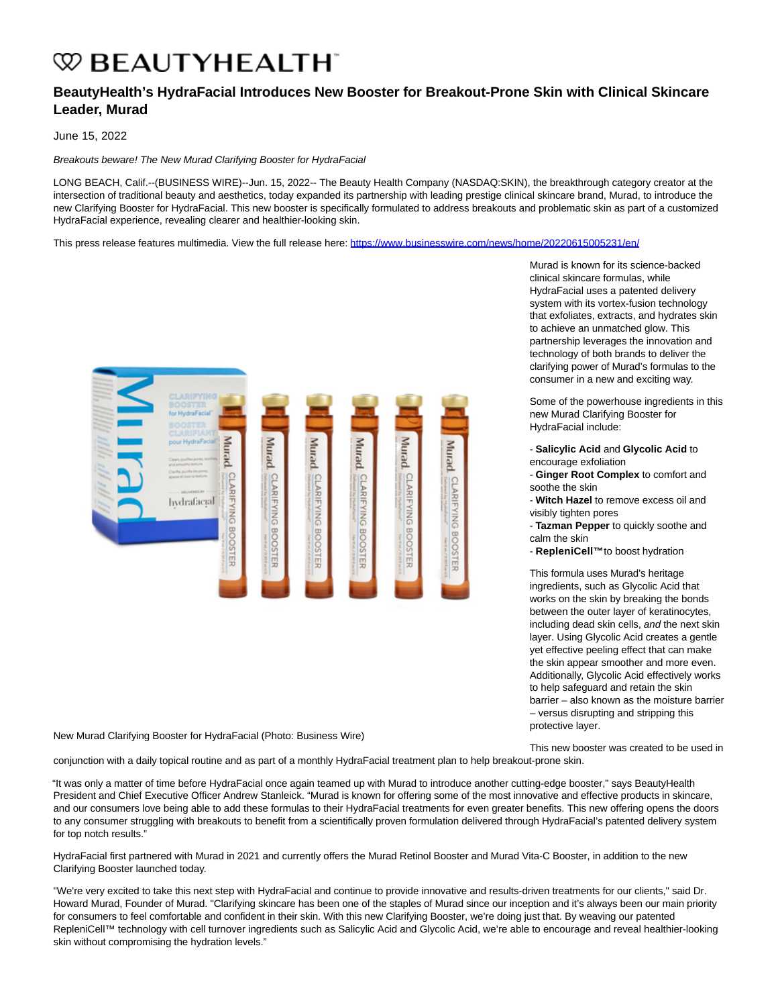# **W BEAUTYHEALTH**

# **BeautyHealth's HydraFacial Introduces New Booster for Breakout-Prone Skin with Clinical Skincare Leader, Murad**

June 15, 2022

## Breakouts beware! The New Murad Clarifying Booster for HydraFacial

LONG BEACH, Calif.--(BUSINESS WIRE)--Jun. 15, 2022-- The Beauty Health Company (NASDAQ:SKIN), the breakthrough category creator at the intersection of traditional beauty and aesthetics, today expanded its partnership with leading prestige clinical skincare brand, Murad, to introduce the new Clarifying Booster for HydraFacial. This new booster is specifically formulated to address breakouts and problematic skin as part of a customized HydraFacial experience, revealing clearer and healthier-looking skin.

This press release features multimedia. View the full release here:<https://www.businesswire.com/news/home/20220615005231/en/>



New Murad Clarifying Booster for HydraFacial (Photo: Business Wire)

Murad is known for its science-backed clinical skincare formulas, while HydraFacial uses a patented delivery system with its vortex-fusion technology that exfoliates, extracts, and hydrates skin to achieve an unmatched glow. This partnership leverages the innovation and technology of both brands to deliver the clarifying power of Murad's formulas to the consumer in a new and exciting way.

Some of the powerhouse ingredients in this new Murad Clarifying Booster for HydraFacial include:

- **Salicylic Acid** and **Glycolic Acid** to encourage exfoliation
- **Ginger Root Complex** to comfort and soothe the skin
- **Witch Hazel** to remove excess oil and visibly tighten pores
- **Tazman Pepper** to quickly soothe and calm the skin
- **RepleniCell™** to boost hydration

This formula uses Murad's heritage ingredients, such as Glycolic Acid that works on the skin by breaking the bonds between the outer layer of keratinocytes, including dead skin cells, and the next skin layer. Using Glycolic Acid creates a gentle yet effective peeling effect that can make the skin appear smoother and more even. Additionally, Glycolic Acid effectively works to help safeguard and retain the skin barrier – also known as the moisture barrier – versus disrupting and stripping this protective layer.

This new booster was created to be used in

conjunction with a daily topical routine and as part of a monthly HydraFacial treatment plan to help breakout-prone skin.

"It was only a matter of time before HydraFacial once again teamed up with Murad to introduce another cutting-edge booster," says BeautyHealth President and Chief Executive Officer Andrew Stanleick. "Murad is known for offering some of the most innovative and effective products in skincare, and our consumers love being able to add these formulas to their HydraFacial treatments for even greater benefits. This new offering opens the doors to any consumer struggling with breakouts to benefit from a scientifically proven formulation delivered through HydraFacial's patented delivery system for top notch results."

HydraFacial first partnered with Murad in 2021 and currently offers the Murad Retinol Booster and Murad Vita-C Booster, in addition to the new Clarifying Booster launched today.

"We're very excited to take this next step with HydraFacial and continue to provide innovative and results-driven treatments for our clients," said Dr. Howard Murad, Founder of Murad. "Clarifying skincare has been one of the staples of Murad since our inception and it's always been our main priority for consumers to feel comfortable and confident in their skin. With this new Clarifying Booster, we're doing just that. By weaving our patented RepleniCell™ technology with cell turnover ingredients such as Salicylic Acid and Glycolic Acid, we're able to encourage and reveal healthier-looking skin without compromising the hydration levels."